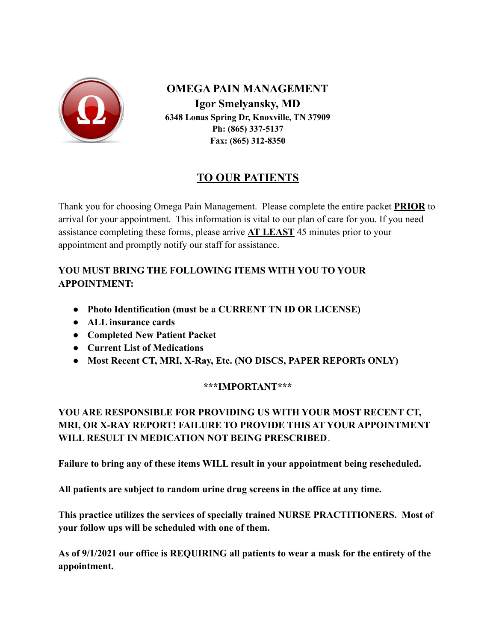

**OMEGA PAIN MANAGEMENT Igor Smelyansky, MD 6348 Lonas Spring Dr, Knoxville, TN 37909 Ph: (865) 337-5137 Fax: (865) 312-8350**

## **TO OUR PATIENTS**

Thank you for choosing Omega Pain Management. Please complete the entire packet **PRIOR** to arrival for your appointment. This information is vital to our plan of care for you. If you need assistance completing these forms, please arrive **AT LEAST** 45 minutes prior to your appointment and promptly notify our staff for assistance.

## **YOU MUST BRING THE FOLLOWING ITEMS WITH YOU TO YOUR APPOINTMENT:**

- **● Photo Identification (must be a CURRENT TN ID OR LICENSE)**
- **● ALL insurance cards**
- **● Completed New Patient Packet**
- **● Current List of Medications**
- **● Most Recent CT, MRI, X-Ray, Etc. (NO DISCS, PAPER REPORTs ONLY)**

## **\*\*\*IMPORTANT\*\*\***

## **YOU ARE RESPONSIBLE FOR PROVIDING US WITH YOUR MOST RECENT CT, MRI, OR X-RAY REPORT! FAILURE TO PROVIDE THIS AT YOUR APPOINTMENT WILL RESULT IN MEDICATION NOT BEING PRESCRIBED**.

**Failure to bring any of these items WILL result in your appointment being rescheduled.**

**All patients are subject to random urine drug screens in the office at any time.**

**This practice utilizes the services of specially trained NURSE PRACTITIONERS. Most of your follow ups will be scheduled with one of them.**

**As of 9/1/2021 our office is REQUIRING all patients to wear a mask for the entirety of the appointment.**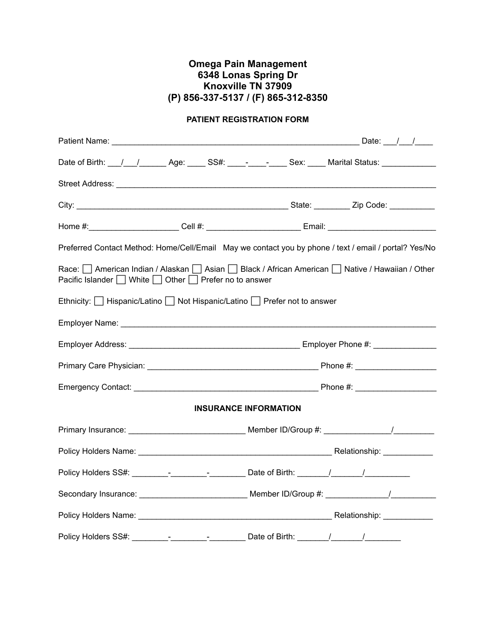### **Omega Pain Management 6348 Lonas Spring Dr Knoxville TN 37909 (P) 856-337-5137 / (F) 865-312-8350**

### **PATIENT REGISTRATION FORM**

|                                                        | Date of Birth: __/__/________Age: _____ SS#: ____- _________ Sex: _____ Marital Status: ____________                                                                                                                                 |
|--------------------------------------------------------|--------------------------------------------------------------------------------------------------------------------------------------------------------------------------------------------------------------------------------------|
|                                                        |                                                                                                                                                                                                                                      |
|                                                        |                                                                                                                                                                                                                                      |
|                                                        | Home #:________________________Cell #: _________________________Email: ____________________________                                                                                                                                  |
|                                                        | Preferred Contact Method: Home/Cell/Email May we contact you by phone / text / email / portal? Yes/No                                                                                                                                |
| Pacific Islander   White   Other   Prefer no to answer | Race:   American Indian / Alaskan   Asian   Black / African American   Native / Hawaiian / Other                                                                                                                                     |
|                                                        | Ethnicity:   Hispanic/Latino   Not Hispanic/Latino   Prefer not to answer                                                                                                                                                            |
|                                                        | Employer Name: <b>Manual Access of the Contract of the Contract of the Contract of the Contract of the Contract of the Contract of the Contract of the Contract of the Contract of the Contract of the Contract of the Contract </b> |
|                                                        |                                                                                                                                                                                                                                      |
|                                                        |                                                                                                                                                                                                                                      |
|                                                        |                                                                                                                                                                                                                                      |
|                                                        | <b>INSURANCE INFORMATION</b>                                                                                                                                                                                                         |
|                                                        |                                                                                                                                                                                                                                      |
|                                                        |                                                                                                                                                                                                                                      |
|                                                        |                                                                                                                                                                                                                                      |
|                                                        |                                                                                                                                                                                                                                      |
|                                                        |                                                                                                                                                                                                                                      |
|                                                        | Policy Holders SS#: _________-_______________________ Date of Birth: ________/________/___________                                                                                                                                   |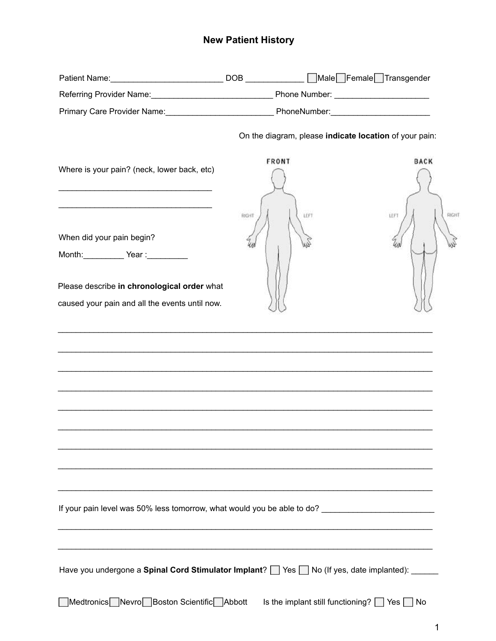## **New Patient History**

|                                                                                                     |              | On the diagram, please indicate location of your pain: |
|-----------------------------------------------------------------------------------------------------|--------------|--------------------------------------------------------|
| Where is your pain? (neck, lower back, etc)                                                         | <b>FRONT</b> | <b>BACK</b>                                            |
| When did your pain begin?<br>Month: <u>Cambridge Year:</u> Year:                                    | RIGHT        | RIGHT<br>LEFT<br>LEFT                                  |
| Please describe in chronological order what                                                         |              |                                                        |
| caused your pain and all the events until now.                                                      |              |                                                        |
|                                                                                                     |              |                                                        |
|                                                                                                     |              |                                                        |
|                                                                                                     |              |                                                        |
|                                                                                                     |              |                                                        |
|                                                                                                     |              |                                                        |
|                                                                                                     |              |                                                        |
|                                                                                                     |              |                                                        |
|                                                                                                     |              |                                                        |
| If your pain level was 50% less tomorrow, what would you be able to do? ___________________________ |              |                                                        |
|                                                                                                     |              |                                                        |
| Have you undergone a Spinal Cord Stimulator Implant? See State (If yes, date implanted): _____      |              |                                                        |
| Medtronics Nevro Boston Scientific Abbott                                                           |              | Is the implant still functioning? $\Box$ Yes $\Box$ No |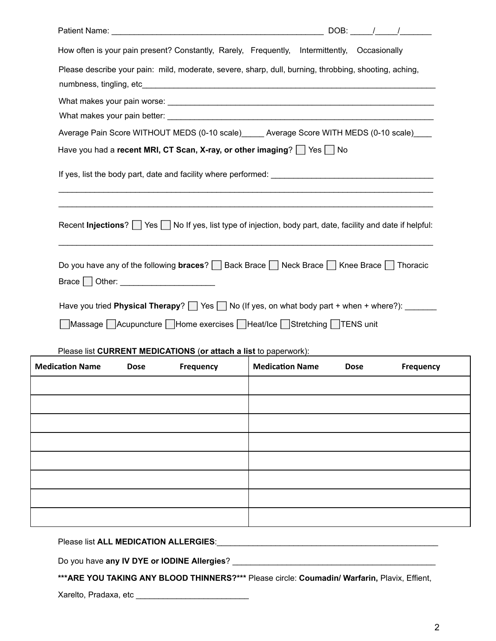| $DOB:$ / /                                                                                                             |
|------------------------------------------------------------------------------------------------------------------------|
| How often is your pain present? Constantly, Rarely, Frequently, Intermittently, Occasionally                           |
| Please describe your pain: mild, moderate, severe, sharp, dull, burning, throbbing, shooting, aching,                  |
|                                                                                                                        |
| Average Pain Score WITHOUT MEDS (0-10 scale)_____ Average Score WITH MEDS (0-10 scale)____                             |
| Have you had a recent MRI, CT Scan, X-ray, or other imaging? $\Box$ Yes $\Box$ No                                      |
|                                                                                                                        |
| Recent Injections?   Yes   No If yes, list type of injection, body part, date, facility and date if helpful:           |
| Do you have any of the following <b>braces</b> ? $\Box$ Back Brace $\Box$ Neck Brace $\Box$ Knee Brace $\Box$ Thoracic |
| Have you tried <b>Physical Therapy</b> ? $\Box$ Yes $\Box$ No (If yes, on what body part + when + where?): $\Box$      |
| ■ Massage Acupuncture Home exercises Heat/Ice Stretching TENS unit                                                     |
| Please list CURRENT MEDICATIONS (or attach a list to paperwork):                                                       |

| <b>Medication Name</b> | <b>Dose</b> | Frequency | <b>Medication Name</b> | <b>Dose</b> | Frequency |
|------------------------|-------------|-----------|------------------------|-------------|-----------|
|                        |             |           |                        |             |           |
|                        |             |           |                        |             |           |
|                        |             |           |                        |             |           |
|                        |             |           |                        |             |           |
|                        |             |           |                        |             |           |
|                        |             |           |                        |             |           |
|                        |             |           |                        |             |           |
|                        |             |           |                        |             |           |

## Please list **ALL MEDICATION ALLERGIES**:\_\_\_\_\_\_\_\_\_\_\_\_\_\_\_\_\_\_\_\_\_\_\_\_\_\_\_\_\_\_\_\_\_\_\_\_\_\_\_\_\_\_\_\_\_\_\_\_\_

Do you have **any IV DYE or IODINE Allergies**? \_\_\_\_\_\_\_\_\_\_\_\_\_\_\_\_\_\_\_\_\_\_\_\_\_\_\_\_\_\_\_\_\_\_\_\_\_\_\_\_\_\_\_\_\_

**\*\*\*ARE YOU TAKING ANY BLOOD THINNERS?\*\*\*** Please circle: **Coumadin/ Warfarin,** Plavix, Effient,

Xarelto, Pradaxa, etc \_\_\_\_\_\_\_\_\_\_\_\_\_\_\_\_\_\_\_\_\_\_\_\_\_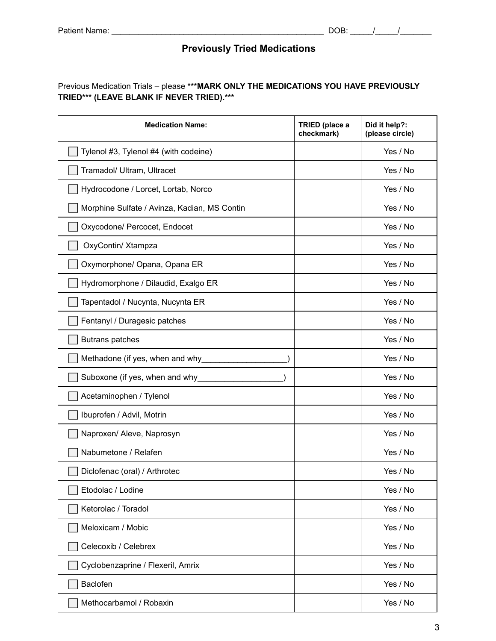## **Previously Tried Medications**

### Previous Medication Trials – please **\*\*\*MARK ONLY THE MEDICATIONS YOU HAVE PREVIOUSLY TRIED\*\*\* (LEAVE BLANK IF NEVER TRIED).\*\*\***

| <b>Medication Name:</b>                      | TRIED (place a<br>checkmark) | Did it help?:<br>(please circle) |
|----------------------------------------------|------------------------------|----------------------------------|
| Tylenol #3, Tylenol #4 (with codeine)        |                              | Yes / No                         |
| Tramadol/ Ultram, Ultracet                   |                              | Yes / No                         |
| Hydrocodone / Lorcet, Lortab, Norco          |                              | Yes / No                         |
| Morphine Sulfate / Avinza, Kadian, MS Contin |                              | Yes / No                         |
| Oxycodone/ Percocet, Endocet                 |                              | Yes / No                         |
| OxyContin/ Xtampza                           |                              | Yes / No                         |
| Oxymorphone/ Opana, Opana ER                 |                              | Yes / No                         |
| Hydromorphone / Dilaudid, Exalgo ER          |                              | Yes / No                         |
| Tapentadol / Nucynta, Nucynta ER             |                              | Yes / No                         |
| Fentanyl / Duragesic patches                 |                              | Yes / No                         |
| <b>Butrans patches</b>                       |                              | Yes / No                         |
| Methadone (if yes, when and why              |                              | Yes / No                         |
| Suboxone (if yes, when and why               |                              | Yes / No                         |
| Acetaminophen / Tylenol                      |                              | Yes / No                         |
| Ibuprofen / Advil, Motrin                    |                              | Yes / No                         |
| Naproxen/ Aleve, Naprosyn                    |                              | Yes / No                         |
| Nabumetone / Relafen                         |                              | Yes / No                         |
| Diclofenac (oral) / Arthrotec                |                              | Yes / No                         |
| Etodolac / Lodine                            |                              | Yes / No                         |
| Ketorolac / Toradol                          |                              | Yes / No                         |
| Meloxicam / Mobic                            |                              | Yes / No                         |
| Celecoxib / Celebrex                         |                              | Yes / No                         |
| Cyclobenzaprine / Flexeril, Amrix            |                              | Yes / No                         |
| Baclofen                                     |                              | Yes / No                         |
| Methocarbamol / Robaxin                      |                              | Yes / No                         |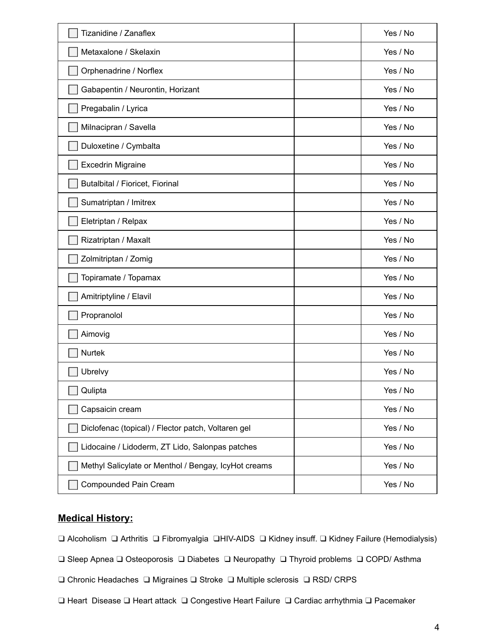| Tizanidine / Zanaflex                                | Yes / No |
|------------------------------------------------------|----------|
| Metaxalone / Skelaxin                                | Yes / No |
| Orphenadrine / Norflex                               | Yes / No |
| Gabapentin / Neurontin, Horizant                     | Yes / No |
| Pregabalin / Lyrica                                  | Yes / No |
| Milnacipran / Savella                                | Yes / No |
| Duloxetine / Cymbalta                                | Yes / No |
| <b>Excedrin Migraine</b>                             | Yes / No |
| Butalbital / Fioricet, Fiorinal                      | Yes / No |
| Sumatriptan / Imitrex                                | Yes / No |
| Eletriptan / Relpax                                  | Yes / No |
| Rizatriptan / Maxalt                                 | Yes / No |
| Zolmitriptan / Zomig                                 | Yes / No |
| Topiramate / Topamax                                 | Yes / No |
| Amitriptyline / Elavil                               | Yes / No |
| Propranolol                                          | Yes / No |
| Aimovig                                              | Yes / No |
| <b>Nurtek</b>                                        | Yes / No |
| Ubrelvy                                              | Yes / No |
| Qulipta                                              | Yes / No |
| Capsaicin cream                                      | Yes / No |
| Diclofenac (topical) / Flector patch, Voltaren gel   | Yes / No |
| Lidocaine / Lidoderm, ZT Lido, Salonpas patches      | Yes / No |
| Methyl Salicylate or Menthol / Bengay, IcyHot creams | Yes / No |
| <b>Compounded Pain Cream</b>                         | Yes / No |

## **Medical History:**

❑ Alcoholism ❑ Arthritis ❑ Fibromyalgia ❑HIV-AIDS ❑ Kidney insuff. ❑ Kidney Failure (Hemodialysis)

- ❑ Sleep Apnea ❑ Osteoporosis ❑ Diabetes ❑ Neuropathy ❑ Thyroid problems ❑ COPD/ Asthma
- ❑ Chronic Headaches ❑ Migraines ❑ Stroke ❑ Multiple sclerosis ❑ RSD/ CRPS
- ❑ Heart Disease ❑ Heart attack ❑ Congestive Heart Failure ❑ Cardiac arrhythmia ❑ Pacemaker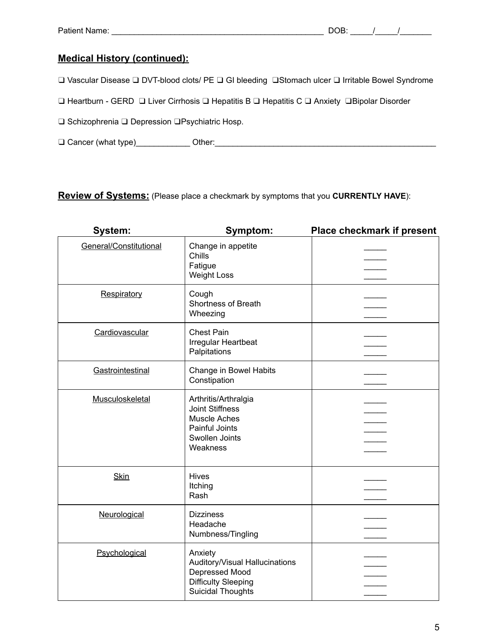## **Medical History (continued):**

❑ Vascular Disease ❑ DVT-blood clots/ PE ❑ GI bleeding ❑Stomach ulcer ❑ Irritable Bowel Syndrome

❑ Heartburn - GERD ❑ Liver Cirrhosis ❑ Hepatitis B ❑ Hepatitis C ❑ Anxiety ❑Bipolar Disorder

❑ Schizophrenia ❑ Depression ❑Psychiatric Hosp.

❑ Cancer (what type)\_\_\_\_\_\_\_\_\_\_\_\_ Other:\_\_\_\_\_\_\_\_\_\_\_\_\_\_\_\_\_\_\_\_\_\_\_\_\_\_\_\_\_\_\_\_\_\_\_\_\_\_\_\_\_\_\_\_\_\_\_\_\_

**Review of Systems:** (Please place a checkmark by symptoms that you **CURRENTLY HAVE**):

| System:                | Symptom:                                                                                                              | <b>Place checkmark if present</b> |
|------------------------|-----------------------------------------------------------------------------------------------------------------------|-----------------------------------|
| General/Constitutional | Change in appetite<br>Chills<br>Fatigue<br><b>Weight Loss</b>                                                         |                                   |
| Respiratory            | Cough<br><b>Shortness of Breath</b><br>Wheezing                                                                       |                                   |
| Cardiovascular         | <b>Chest Pain</b><br>Irregular Heartbeat<br>Palpitations                                                              |                                   |
| Gastrointestinal       | Change in Bowel Habits<br>Constipation                                                                                |                                   |
| Musculoskeletal        | Arthritis/Arthralgia<br><b>Joint Stiffness</b><br><b>Muscle Aches</b><br>Painful Joints<br>Swollen Joints<br>Weakness |                                   |
| <b>Skin</b>            | Hives<br>Itching<br>Rash                                                                                              |                                   |
| Neurological           | <b>Dizziness</b><br>Headache<br>Numbness/Tingling                                                                     |                                   |
| Psychological          | Anxiety<br>Auditory/Visual Hallucinations<br>Depressed Mood<br><b>Difficulty Sleeping</b><br><b>Suicidal Thoughts</b> |                                   |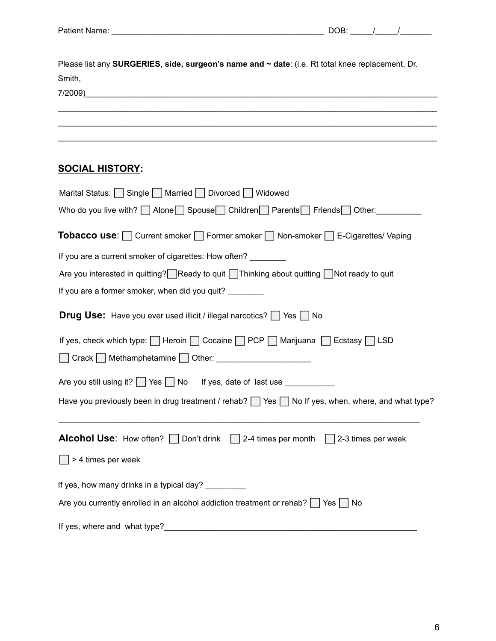| Please list any SURGERIES, side, surgeon's name and ~ date: (i.e. Rt total knee replacement, Dr. |
|--------------------------------------------------------------------------------------------------|
| Smith,                                                                                           |
| 7/2009)<br><u> 1989 - Johann Johann Johann Johann Stoffen (f. 1989)</u>                          |
|                                                                                                  |
|                                                                                                  |
|                                                                                                  |
|                                                                                                  |
| <b>SOCIAL HISTORY:</b>                                                                           |
| Marital Status: Single Married Divorced Widowed                                                  |

| Who do you live with? Alone Spouse Children Parents Friends Other:                                           |
|--------------------------------------------------------------------------------------------------------------|
| <b>Tobacco use:</b> Current smoker Former smoker Non-smoker E-Cigarettes/ Vaping                             |
| If you are a current smoker of cigarettes: How often? _________                                              |
| Are you interested in quitting? Ready to quit Ihinking about quitting Not ready to quit                      |
| If you are a former smoker, when did you quit?                                                               |
| <b>Drug Use:</b> Have you ever used illicit / illegal narcotics? Yes No                                      |
| If yes, check which type:   Heroin   Cocaine   PCP   Marijuana   Ecstasy   LSD                               |
| Crack Methamphetamine Other: ______________________                                                          |
| Are you still using it? Yes No If yes, date of last use ___________                                          |
| Have you previously been in drug treatment / rehab? $\Box$ Yes $\Box$ No If yes, when, where, and what type? |
| <b>Alcohol Use:</b> How often? $\Box$ Don't drink $\Box$ 2-4 times per month $\Box$ 2-3 times per week       |
| > 4 times per week                                                                                           |
| If yes, how many drinks in a typical day? ________                                                           |
| Are you currently enrolled in an alcohol addiction treatment or rehab?   Yes   No                            |
|                                                                                                              |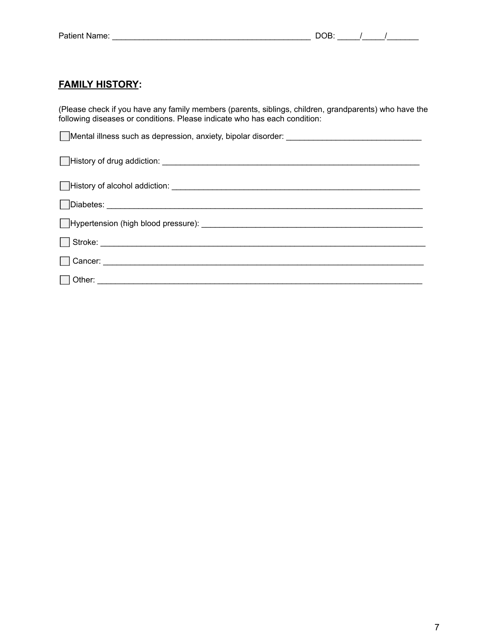## **FAMILY HISTORY:**

(Please check if you have any family members (parents, siblings, children, grandparents) who have the following diseases or conditions. Please indicate who has each condition:

| Mental illness such as depression, anxiety, bipolar disorder: ___________________________________ |
|---------------------------------------------------------------------------------------------------|
|                                                                                                   |
|                                                                                                   |
|                                                                                                   |
|                                                                                                   |
|                                                                                                   |
|                                                                                                   |
|                                                                                                   |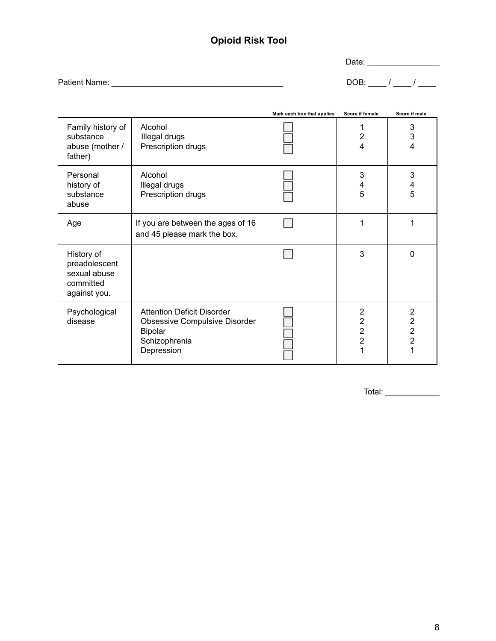## **Opioid Risk Tool**

Date: \_\_\_\_\_\_\_\_\_\_\_\_\_\_\_\_

Patient Name: \_\_\_\_\_\_\_\_\_\_\_\_\_\_\_\_\_\_\_\_\_\_\_\_\_\_\_\_\_\_\_\_\_\_\_\_\_\_ DOB: \_\_\_\_ / \_\_\_\_ / \_\_\_\_

|                                                                          |                                                                                                              | Mark each box that applies | Score if female                      | Score if male                                                             |
|--------------------------------------------------------------------------|--------------------------------------------------------------------------------------------------------------|----------------------------|--------------------------------------|---------------------------------------------------------------------------|
| Family history of<br>substance<br>abuse (mother /<br>father)             | Alcohol<br>Illegal drugs<br>Prescription drugs                                                               |                            | 2<br>4                               | 3<br>3<br>$\overline{4}$                                                  |
| Personal<br>history of<br>substance<br>abuse                             | Alcohol<br>Illegal drugs<br>Prescription drugs                                                               |                            | 3<br>4<br>5                          | 3<br>4<br>5                                                               |
| Age                                                                      | If you are between the ages of 16<br>and 45 please mark the box.                                             |                            |                                      |                                                                           |
| History of<br>preadolescent<br>sexual abuse<br>committed<br>against you. |                                                                                                              |                            | 3                                    | $\Omega$                                                                  |
| Psychological<br>disease                                                 | <b>Attention Deficit Disorder</b><br>Obsessive Compulsive Disorder<br>Bipolar<br>Schizophrenia<br>Depression |                            | 2<br>$\overline{2}$<br>$\frac{2}{2}$ | $\overline{2}$<br>$\overline{2}$<br>$\overline{c}$<br>$\overline{2}$<br>1 |

Total: \_\_\_\_\_\_\_\_\_\_\_\_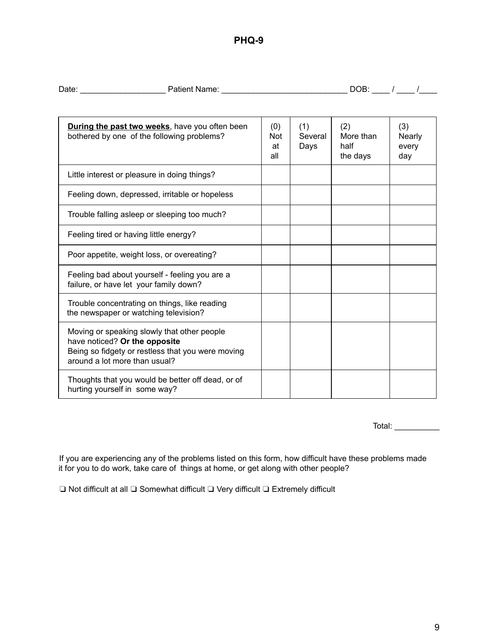## **PHQ-9**

| Date: | Patient Name: | ∩R.<br>м |  |
|-------|---------------|----------|--|
|       |               |          |  |

| <b>During the past two weeks</b> , have you often been<br>bothered by one of the following problems?                                                               | (0)<br>Not<br>at<br>all | (1)<br>Several<br>Days | (2)<br>More than<br>half<br>the days | (3)<br>Nearly<br>every<br>day |
|--------------------------------------------------------------------------------------------------------------------------------------------------------------------|-------------------------|------------------------|--------------------------------------|-------------------------------|
| Little interest or pleasure in doing things?                                                                                                                       |                         |                        |                                      |                               |
| Feeling down, depressed, irritable or hopeless                                                                                                                     |                         |                        |                                      |                               |
| Trouble falling asleep or sleeping too much?                                                                                                                       |                         |                        |                                      |                               |
| Feeling tired or having little energy?                                                                                                                             |                         |                        |                                      |                               |
| Poor appetite, weight loss, or overeating?                                                                                                                         |                         |                        |                                      |                               |
| Feeling bad about yourself - feeling you are a<br>failure, or have let your family down?                                                                           |                         |                        |                                      |                               |
| Trouble concentrating on things, like reading<br>the newspaper or watching television?                                                                             |                         |                        |                                      |                               |
| Moving or speaking slowly that other people<br>have noticed? Or the opposite<br>Being so fidgety or restless that you were moving<br>around a lot more than usual? |                         |                        |                                      |                               |
| Thoughts that you would be better off dead, or of<br>hurting yourself in some way?                                                                                 |                         |                        |                                      |                               |

Total: \_\_\_\_\_\_\_\_\_\_\_\_

If you are experiencing any of the problems listed on this form, how difficult have these problems made it for you to do work, take care of things at home, or get along with other people?

❏ Not difficult at all ❏ Somewhat difficult ❏ Very difficult ❏ Extremely difficult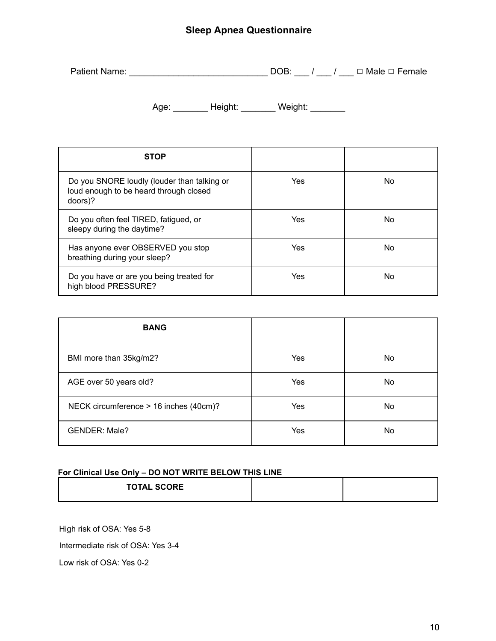## **Sleep Apnea Questionnaire**

| <b>Patient Name:</b> |  |  | □ Male □ Female |
|----------------------|--|--|-----------------|
|----------------------|--|--|-----------------|

Age: \_\_\_\_\_\_\_\_ Height: \_\_\_\_\_\_\_ Weight: \_\_\_\_\_\_\_

| <b>STOP</b>                                                                                      |     |     |
|--------------------------------------------------------------------------------------------------|-----|-----|
| Do you SNORE loudly (louder than talking or<br>loud enough to be heard through closed<br>doors)? | Yes | No. |
| Do you often feel TIRED, fatigued, or<br>sleepy during the daytime?                              | Yes | No. |
| Has anyone ever OBSERVED you stop<br>breathing during your sleep?                                | Yes | No. |
| Do you have or are you being treated for<br>high blood PRESSURE?                                 | Yes | No  |

| <b>BANG</b>                            |     |    |
|----------------------------------------|-----|----|
| BMI more than 35kg/m2?                 | Yes | No |
| AGE over 50 years old?                 | Yes | No |
| NECK circumference > 16 inches (40cm)? | Yes | No |
| <b>GENDER: Male?</b>                   | Yes | No |

#### **For Clinical Use Only – DO NOT WRITE BELOW THIS LINE**

| <b>TOTAL SCORE</b> |  |
|--------------------|--|
|                    |  |

High risk of OSA: Yes 5-8

Intermediate risk of OSA: Yes 3-4

Low risk of OSA: Yes 0-2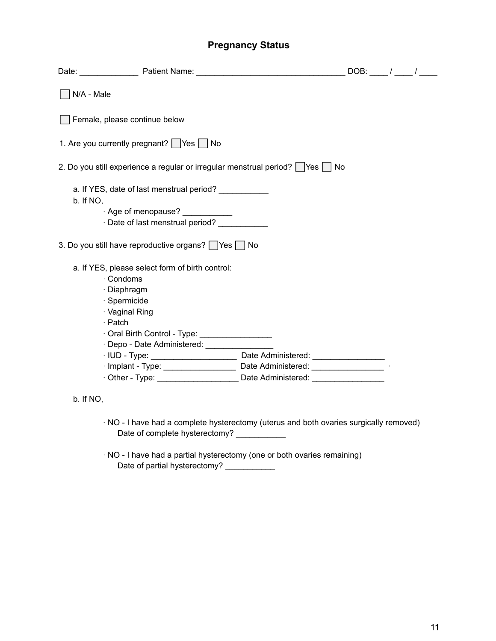## **Pregnancy Status**

| N/A - Male                    |                                                                                  |  |  |
|-------------------------------|----------------------------------------------------------------------------------|--|--|
| Female, please continue below |                                                                                  |  |  |
|                               |                                                                                  |  |  |
|                               | 1. Are you currently pregnant? Yes No                                            |  |  |
|                               | 2. Do you still experience a regular or irregular menstrual period?   Yes   No   |  |  |
|                               | a. If YES, date of last menstrual period? ____________                           |  |  |
| b. If NO,                     |                                                                                  |  |  |
|                               | · Age of menopause? ___________                                                  |  |  |
|                               | · Date of last menstrual period? ____________                                    |  |  |
|                               | 3. Do you still have reproductive organs? Yes No                                 |  |  |
|                               | a. If YES, please select form of birth control:                                  |  |  |
| · Condoms                     |                                                                                  |  |  |
|                               | · Diaphragm                                                                      |  |  |
|                               | · Spermicide                                                                     |  |  |
|                               | · Vaginal Ring                                                                   |  |  |
| · Patch                       |                                                                                  |  |  |
|                               | Oral Birth Control - Type: _________________                                     |  |  |
|                               | · Depo - Date Administered: _________________                                    |  |  |
|                               |                                                                                  |  |  |
|                               | · Implant - Type: _______________________ Date Administered: ___________________ |  |  |
|                               | . Other - Type: ________________________ Date Administered: ___________________  |  |  |
|                               |                                                                                  |  |  |
| b. If NO,                     |                                                                                  |  |  |

- · NO I have had a complete hysterectomy (uterus and both ovaries surgically removed) Date of complete hysterectomy? \_\_\_\_\_\_\_\_\_\_\_
- · NO I have had a partial hysterectomy (one or both ovaries remaining) Date of partial hysterectomy? \_\_\_\_\_\_\_\_\_\_\_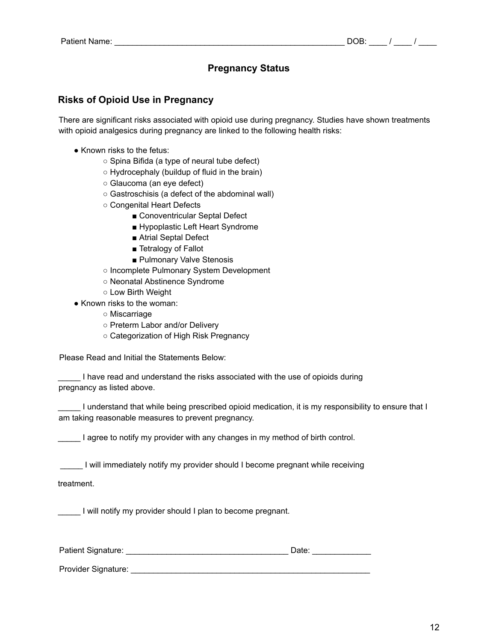## **Pregnancy Status**

### **Risks of Opioid Use in Pregnancy**

There are significant risks associated with opioid use during pregnancy. Studies have shown treatments with opioid analgesics during pregnancy are linked to the following health risks:

- Known risks to the fetus:
	- Spina Bifida (a type of neural tube defect)
	- Hydrocephaly (buildup of fluid in the brain)
	- Glaucoma (an eye defect)
	- Gastroschisis (a defect of the abdominal wall)
	- Congenital Heart Defects
		- Conoventricular Septal Defect
		- Hypoplastic Left Heart Syndrome
		- Atrial Septal Defect
		- Tetralogy of Fallot
		- Pulmonary Valve Stenosis
	- Incomplete Pulmonary System Development
	- Neonatal Abstinence Syndrome
	- Low Birth Weight
- Known risks to the woman:
	- Miscarriage
	- Preterm Labor and/or Delivery
	- Categorization of High Risk Pregnancy

Please Read and Initial the Statements Below:

\_\_\_\_\_ I have read and understand the risks associated with the use of opioids during pregnancy as listed above.

I understand that while being prescribed opioid medication, it is my responsibility to ensure that I am taking reasonable measures to prevent pregnancy.

I agree to notify my provider with any changes in my method of birth control.

\_\_\_\_\_ I will immediately notify my provider should I become pregnant while receiving

treatment.

I will notify my provider should I plan to become pregnant.

| Patient Signature: |  |  |
|--------------------|--|--|
|                    |  |  |

Provider Signature: \_\_\_\_\_\_\_\_\_\_\_\_\_\_\_\_\_\_\_\_\_\_\_\_\_\_\_\_\_\_\_\_\_\_\_\_\_\_\_\_\_\_\_\_\_\_\_\_\_\_\_\_\_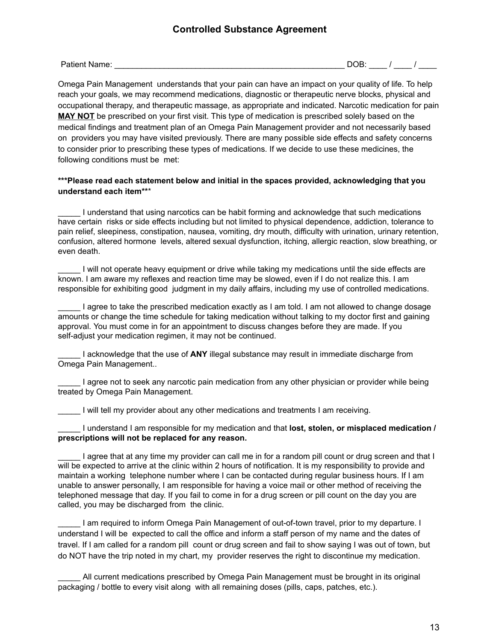Patient Name: \_\_\_\_\_\_\_\_\_\_\_\_\_\_\_\_\_\_\_\_\_\_\_\_\_\_\_\_\_\_\_\_\_\_\_\_\_\_\_\_\_\_\_\_\_\_\_\_\_\_\_ DOB: \_\_\_\_ / \_\_\_\_ / \_\_\_\_

Omega Pain Management understands that your pain can have an impact on your quality of life. To help reach your goals, we may recommend medications, diagnostic or therapeutic nerve blocks, physical and occupational therapy, and therapeutic massage, as appropriate and indicated. Narcotic medication for pain **MAY NOT** be prescribed on your first visit. This type of medication is prescribed solely based on the medical findings and treatment plan of an Omega Pain Management provider and not necessarily based on providers you may have visited previously. There are many possible side effects and safety concerns to consider prior to prescribing these types of medications. If we decide to use these medicines, the following conditions must be met:

#### **\*\*\*Please read each statement below and initial in the spaces provided, acknowledging that you understand each item\*\***\*

\_\_\_\_\_ I understand that using narcotics can be habit forming and acknowledge that such medications have certain risks or side effects including but not limited to physical dependence, addiction, tolerance to pain relief, sleepiness, constipation, nausea, vomiting, dry mouth, difficulty with urination, urinary retention, confusion, altered hormone levels, altered sexual dysfunction, itching, allergic reaction, slow breathing, or even death.

\_\_\_\_\_ I will not operate heavy equipment or drive while taking my medications until the side effects are known. I am aware my reflexes and reaction time may be slowed, even if I do not realize this. I am responsible for exhibiting good judgment in my daily affairs, including my use of controlled medications.

\_\_\_\_\_ I agree to take the prescribed medication exactly as I am told. I am not allowed to change dosage amounts or change the time schedule for taking medication without talking to my doctor first and gaining approval. You must come in for an appointment to discuss changes before they are made. If you self-adjust your medication regimen, it may not be continued.

\_\_\_\_\_ I acknowledge that the use of **ANY** illegal substance may result in immediate discharge from Omega Pain Management..

I agree not to seek any narcotic pain medication from any other physician or provider while being treated by Omega Pain Management.

I will tell my provider about any other medications and treatments I am receiving.

\_\_\_\_\_ I understand I am responsible for my medication and that **lost, stolen, or misplaced medication / prescriptions will not be replaced for any reason.**

I agree that at any time my provider can call me in for a random pill count or drug screen and that I will be expected to arrive at the clinic within 2 hours of notification. It is my responsibility to provide and maintain a working telephone number where I can be contacted during regular business hours. If I am unable to answer personally, I am responsible for having a voice mail or other method of receiving the telephoned message that day. If you fail to come in for a drug screen or pill count on the day you are called, you may be discharged from the clinic.

I am required to inform Omega Pain Management of out-of-town travel, prior to my departure. I understand I will be expected to call the office and inform a staff person of my name and the dates of travel. If I am called for a random pill count or drug screen and fail to show saying I was out of town, but do NOT have the trip noted in my chart, my provider reserves the right to discontinue my medication.

All current medications prescribed by Omega Pain Management must be brought in its original packaging / bottle to every visit along with all remaining doses (pills, caps, patches, etc.).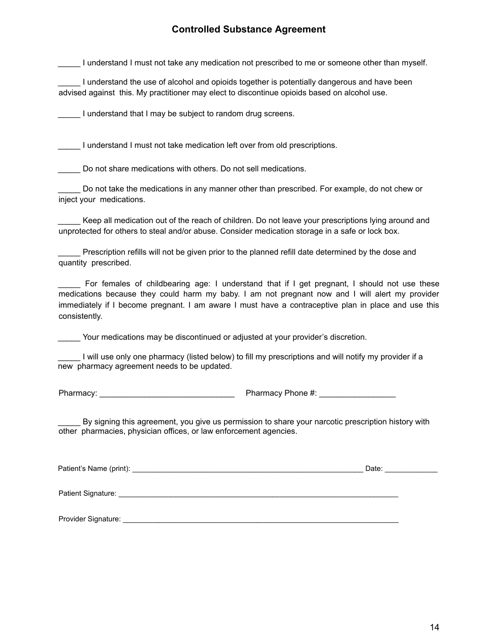### **Controlled Substance Agreement**

\_\_\_\_\_ I understand I must not take any medication not prescribed to me or someone other than myself.

I understand the use of alcohol and opioids together is potentially dangerous and have been advised against this. My practitioner may elect to discontinue opioids based on alcohol use.

**The I** understand that I may be subject to random drug screens.

I understand I must not take medication left over from old prescriptions.

Do not share medications with others. Do not sell medications.

Do not take the medications in any manner other than prescribed. For example, do not chew or inject your medications.

\_\_\_\_\_ Keep all medication out of the reach of children. Do not leave your prescriptions lying around and unprotected for others to steal and/or abuse. Consider medication storage in a safe or lock box.

Prescription refills will not be given prior to the planned refill date determined by the dose and quantity prescribed.

For females of childbearing age: I understand that if I get pregnant, I should not use these medications because they could harm my baby. I am not pregnant now and I will alert my provider immediately if I become pregnant. I am aware I must have a contraceptive plan in place and use this consistently.

Your medications may be discontinued or adjusted at your provider's discretion.

I will use only one pharmacy (listed below) to fill my prescriptions and will notify my provider if a new pharmacy agreement needs to be updated.

Pharmacy: \_\_\_\_\_\_\_\_\_\_\_\_\_\_\_\_\_\_\_\_\_\_\_\_\_\_\_\_\_\_ Pharmacy Phone #: \_\_\_\_\_\_\_\_\_\_\_\_\_\_\_\_\_

By signing this agreement, you give us permission to share your narcotic prescription history with other pharmacies, physician offices, or law enforcement agencies.

Patient's Name (print): \_\_\_\_\_\_\_\_\_\_\_\_\_\_\_\_\_\_\_\_\_\_\_\_\_\_\_\_\_\_\_\_\_\_\_\_\_\_\_\_\_\_\_\_\_\_\_\_\_\_\_\_\_\_\_\_\_ Date: \_\_\_\_\_\_\_\_\_\_\_\_\_

Patient Signature:  $\blacksquare$ 

Provider Signature:  $\blacksquare$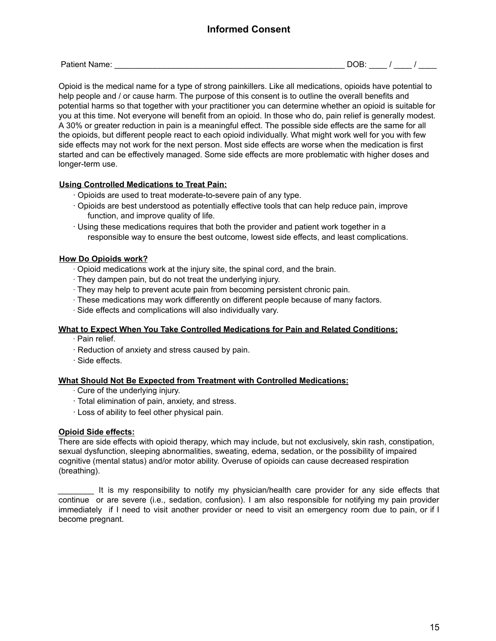## **Informed Consent**

Opioid is the medical name for a type of strong painkillers. Like all medications, opioids have potential to help people and / or cause harm. The purpose of this consent is to outline the overall benefits and potential harms so that together with your practitioner you can determine whether an opioid is suitable for you at this time. Not everyone will benefit from an opioid. In those who do, pain relief is generally modest. A 30% or greater reduction in pain is a meaningful effect. The possible side effects are the same for all the opioids, but different people react to each opioid individually. What might work well for you with few side effects may not work for the next person. Most side effects are worse when the medication is first started and can be effectively managed. Some side effects are more problematic with higher doses and longer-term use.

#### **Using Controlled Medications to Treat Pain:**

- ∙ Opioids are used to treat moderate-to-severe pain of any type.
- ∙ Opioids are best understood as potentially effective tools that can help reduce pain, improve function, and improve quality of life.
- ∙ Using these medications requires that both the provider and patient work together in a responsible way to ensure the best outcome, lowest side effects, and least complications.

#### **How Do Opioids work?**

- ∙ Opioid medications work at the injury site, the spinal cord, and the brain.
- ∙ They dampen pain, but do not treat the underlying injury.
- ∙ They may help to prevent acute pain from becoming persistent chronic pain.
- ∙ These medications may work differently on different people because of many factors.
- ∙ Side effects and complications will also individually vary.

#### **What to Expect When You Take Controlled Medications for Pain and Related Conditions:**

- ∙ Pain relief.
- ∙ Reduction of anxiety and stress caused by pain.
- ∙ Side effects.

#### **What Should Not Be Expected from Treatment with Controlled Medications:**

- ∙ Cure of the underlying injury.
- ∙ Total elimination of pain, anxiety, and stress.
- ∙ Loss of ability to feel other physical pain.

#### **Opioid Side effects:**

There are side effects with opioid therapy, which may include, but not exclusively, skin rash, constipation, sexual dysfunction, sleeping abnormalities, sweating, edema, sedation, or the possibility of impaired cognitive (mental status) and/or motor ability. Overuse of opioids can cause decreased respiration (breathing).

\_\_\_\_\_\_\_\_ It is my responsibility to notify my physician/health care provider for any side effects that continue or are severe (i.e., sedation, confusion). I am also responsible for notifying my pain provider immediately if I need to visit another provider or need to visit an emergency room due to pain, or if I become pregnant.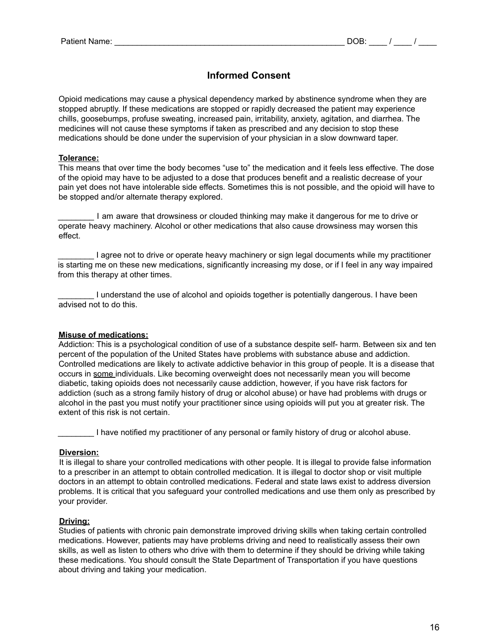## **Informed Consent**

Opioid medications may cause a physical dependency marked by abstinence syndrome when they are stopped abruptly. If these medications are stopped or rapidly decreased the patient may experience chills, goosebumps, profuse sweating, increased pain, irritability, anxiety, agitation, and diarrhea. The medicines will not cause these symptoms if taken as prescribed and any decision to stop these medications should be done under the supervision of your physician in a slow downward taper.

#### **Tolerance:**

This means that over time the body becomes "use to" the medication and it feels less effective. The dose of the opioid may have to be adjusted to a dose that produces benefit and a realistic decrease of your pain yet does not have intolerable side effects. Sometimes this is not possible, and the opioid will have to be stopped and/or alternate therapy explored.

\_\_\_\_\_\_\_\_ I am aware that drowsiness or clouded thinking may make it dangerous for me to drive or operate heavy machinery. Alcohol or other medications that also cause drowsiness may worsen this effect.

I agree not to drive or operate heavy machinery or sign legal documents while my practitioner is starting me on these new medications, significantly increasing my dose, or if I feel in any way impaired from this therapy at other times.

\_\_\_\_\_\_\_\_ I understand the use of alcohol and opioids together is potentially dangerous. I have been advised not to do this.

#### **Misuse of medications:**

Addiction: This is a psychological condition of use of a substance despite self- harm. Between six and ten percent of the population of the United States have problems with substance abuse and addiction. Controlled medications are likely to activate addictive behavior in this group of people. It is a disease that occurs in some individuals. Like becoming overweight does not necessarily mean you will become diabetic, taking opioids does not necessarily cause addiction, however, if you have risk factors for addiction (such as a strong family history of drug or alcohol abuse) or have had problems with drugs or alcohol in the past you must notify your practitioner since using opioids will put you at greater risk. The extent of this risk is not certain.

I have notified my practitioner of any personal or family history of drug or alcohol abuse.

#### **Diversion:**

It is illegal to share your controlled medications with other people. It is illegal to provide false information to a prescriber in an attempt to obtain controlled medication. It is illegal to doctor shop or visit multiple doctors in an attempt to obtain controlled medications. Federal and state laws exist to address diversion problems. It is critical that you safeguard your controlled medications and use them only as prescribed by your provider.

#### **Driving:**

Studies of patients with chronic pain demonstrate improved driving skills when taking certain controlled medications. However, patients may have problems driving and need to realistically assess their own skills, as well as listen to others who drive with them to determine if they should be driving while taking these medications. You should consult the State Department of Transportation if you have questions about driving and taking your medication.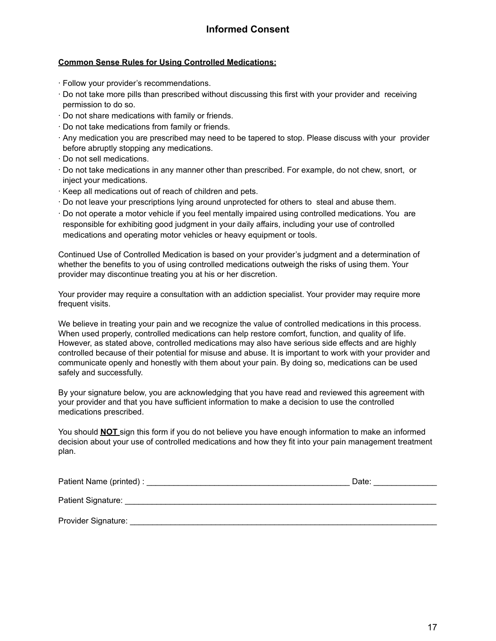#### **Common Sense Rules for Using Controlled Medications:**

- ∙ Follow your provider's recommendations.
- ∙ Do not take more pills than prescribed without discussing this first with your provider and receiving permission to do so.
- ∙ Do not share medications with family or friends.
- ∙ Do not take medications from family or friends.
- ∙ Any medication you are prescribed may need to be tapered to stop. Please discuss with your provider before abruptly stopping any medications.
- ∙ Do not sell medications.
- ∙ Do not take medications in any manner other than prescribed. For example, do not chew, snort, or inject your medications.
- ∙ Keep all medications out of reach of children and pets.
- ∙ Do not leave your prescriptions lying around unprotected for others to steal and abuse them.
- ∙ Do not operate a motor vehicle if you feel mentally impaired using controlled medications. You are responsible for exhibiting good judgment in your daily affairs, including your use of controlled medications and operating motor vehicles or heavy equipment or tools.

Continued Use of Controlled Medication is based on your provider's judgment and a determination of whether the benefits to you of using controlled medications outweigh the risks of using them. Your provider may discontinue treating you at his or her discretion.

Your provider may require a consultation with an addiction specialist. Your provider may require more frequent visits.

We believe in treating your pain and we recognize the value of controlled medications in this process. When used properly, controlled medications can help restore comfort, function, and quality of life. However, as stated above, controlled medications may also have serious side effects and are highly controlled because of their potential for misuse and abuse. It is important to work with your provider and communicate openly and honestly with them about your pain. By doing so, medications can be used safely and successfully.

By your signature below, you are acknowledging that you have read and reviewed this agreement with your provider and that you have sufficient information to make a decision to use the controlled medications prescribed.

You should **NOT** sign this form if you do not believe you have enough information to make an informed decision about your use of controlled medications and how they fit into your pain management treatment plan.

| Patient Name (printed) : | Date: |
|--------------------------|-------|
| Patient Signature:       |       |
| Provider Signature:      |       |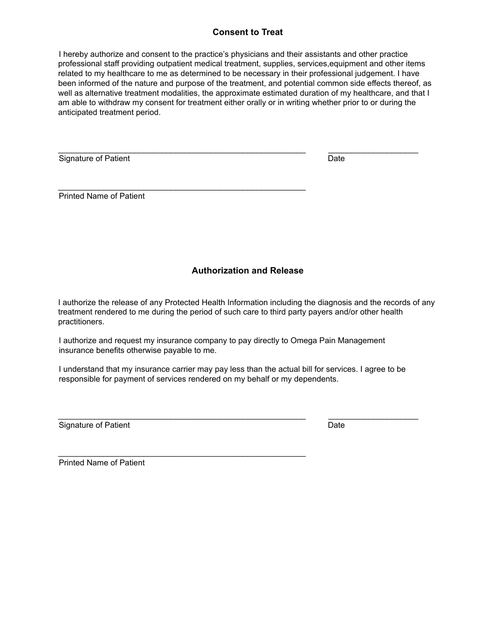#### **Consent to Treat**

I hereby authorize and consent to the practice's physicians and their assistants and other practice professional staff providing outpatient medical treatment, supplies, services,equipment and other items related to my healthcare to me as determined to be necessary in their professional judgement. I have been informed of the nature and purpose of the treatment, and potential common side effects thereof, as well as alternative treatment modalities, the approximate estimated duration of my healthcare, and that I am able to withdraw my consent for treatment either orally or in writing whether prior to or during the anticipated treatment period.

\_\_\_\_\_\_\_\_\_\_\_\_\_\_\_\_\_\_\_\_\_\_\_\_\_\_\_\_\_\_\_\_\_\_\_\_\_\_\_\_\_\_\_\_\_\_\_\_\_\_\_\_\_\_\_ \_\_\_\_\_\_\_\_\_\_\_\_\_\_\_\_\_\_\_\_

 $\mathcal{L}_\text{max} = \mathcal{L}_\text{max} = \mathcal{L}_\text{max} = \mathcal{L}_\text{max} = \mathcal{L}_\text{max} = \mathcal{L}_\text{max} = \mathcal{L}_\text{max} = \mathcal{L}_\text{max} = \mathcal{L}_\text{max} = \mathcal{L}_\text{max} = \mathcal{L}_\text{max} = \mathcal{L}_\text{max} = \mathcal{L}_\text{max} = \mathcal{L}_\text{max} = \mathcal{L}_\text{max} = \mathcal{L}_\text{max} = \mathcal{L}_\text{max} = \mathcal{L}_\text{max} = \mathcal{$ 

 $\mathcal{L}_\text{max} = \mathcal{L}_\text{max} = \mathcal{L}_\text{max} = \mathcal{L}_\text{max} = \mathcal{L}_\text{max} = \mathcal{L}_\text{max} = \mathcal{L}_\text{max} = \mathcal{L}_\text{max} = \mathcal{L}_\text{max} = \mathcal{L}_\text{max} = \mathcal{L}_\text{max} = \mathcal{L}_\text{max} = \mathcal{L}_\text{max} = \mathcal{L}_\text{max} = \mathcal{L}_\text{max} = \mathcal{L}_\text{max} = \mathcal{L}_\text{max} = \mathcal{L}_\text{max} = \mathcal{$ 

Signature of Patient **Date** Date **Date** Date **Date** Date **Date** 

Printed Name of Patient

#### **Authorization and Release**

I authorize the release of any Protected Health Information including the diagnosis and the records of any treatment rendered to me during the period of such care to third party payers and/or other health practitioners.

I authorize and request my insurance company to pay directly to Omega Pain Management insurance benefits otherwise payable to me.

I understand that my insurance carrier may pay less than the actual bill for services. I agree to be responsible for payment of services rendered on my behalf or my dependents.

\_\_\_\_\_\_\_\_\_\_\_\_\_\_\_\_\_\_\_\_\_\_\_\_\_\_\_\_\_\_\_\_\_\_\_\_\_\_\_\_\_\_\_\_\_\_\_\_\_\_\_\_\_\_\_ \_\_\_\_\_\_\_\_\_\_\_\_\_\_\_\_\_\_\_\_

Signature of Patient Date Date Date Date

Printed Name of Patient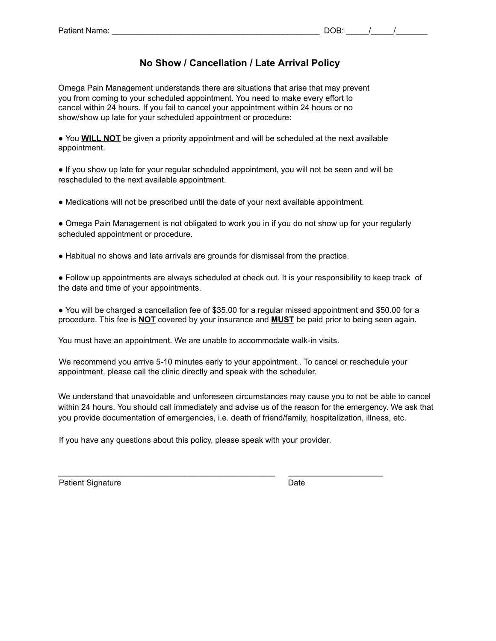### **No Show / Cancellation / Late Arrival Policy**

Omega Pain Management understands there are situations that arise that may prevent you from coming to your scheduled appointment. You need to make every effort to cancel within 24 hours. If you fail to cancel your appointment within 24 hours or no show/show up late for your scheduled appointment or procedure:

● You **WILL NOT** be given a priority appointment and will be scheduled at the next available appointment.

● If you show up late for your regular scheduled appointment, you will not be seen and will be rescheduled to the next available appointment.

● Medications will not be prescribed until the date of your next available appointment.

• Omega Pain Management is not obligated to work you in if you do not show up for your regularly scheduled appointment or procedure.

● Habitual no shows and late arrivals are grounds for dismissal from the practice.

● Follow up appointments are always scheduled at check out. It is your responsibility to keep track of the date and time of your appointments.

● You will be charged a cancellation fee of \$35.00 for a regular missed appointment and \$50.00 for a procedure. This fee is **NOT** covered by your insurance and **MUST** be paid prior to being seen again.

You must have an appointment. We are unable to accommodate walk-in visits.

We recommend you arrive 5-10 minutes early to your appointment.. To cancel or reschedule your appointment, please call the clinic directly and speak with the scheduler.

We understand that unavoidable and unforeseen circumstances may cause you to not be able to cancel within 24 hours. You should call immediately and advise us of the reason for the emergency. We ask that you provide documentation of emergencies, i.e. death of friend/family, hospitalization, illness, etc.

If you have any questions about this policy, please speak with your provider.

Patient Signature Date Date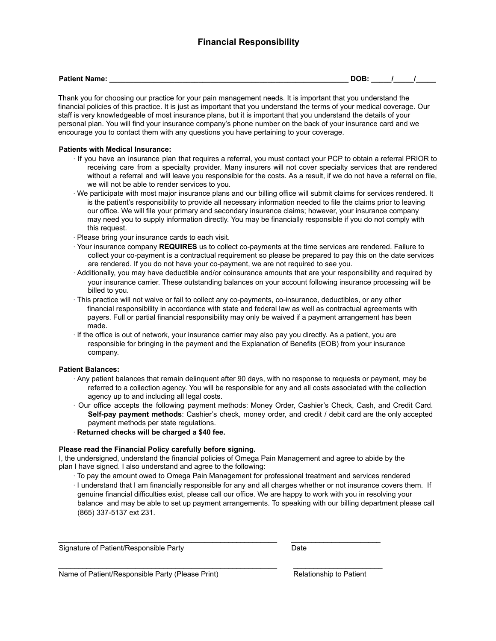### **Financial Responsibility**

**Patient Name:**  $\blacksquare$  **Patient Name:**  $\blacksquare$   $\blacksquare$   $\blacksquare$   $\blacksquare$   $\blacksquare$   $\blacksquare$   $\blacksquare$   $\blacksquare$   $\blacksquare$   $\blacksquare$   $\blacksquare$   $\blacksquare$   $\blacksquare$   $\blacksquare$   $\blacksquare$   $\blacksquare$   $\blacksquare$   $\blacksquare$   $\blacksquare$   $\blacksquare$   $\blacksquare$   $\blacksquare$   $\blacksquare$   $\blacksquare$   $\blacksquare$   $\blacksquare$ 

Thank you for choosing our practice for your pain management needs. It is important that you understand the financial policies of this practice. It is just as important that you understand the terms of your medical coverage. Our staff is very knowledgeable of most insurance plans, but it is important that you understand the details of your personal plan. You will find your insurance company's phone number on the back of your insurance card and we encourage you to contact them with any questions you have pertaining to your coverage.

#### **Patients with Medical Insurance:**

- ∙ If you have an insurance plan that requires a referral, you must contact your PCP to obtain a referral PRIOR to receiving care from a specialty provider. Many insurers will not cover specialty services that are rendered without a referral and will leave you responsible for the costs. As a result, if we do not have a referral on file, we will not be able to render services to you.
- ∙ We participate with most major insurance plans and our billing office will submit claims for services rendered. It is the patient's responsibility to provide all necessary information needed to file the claims prior to leaving our office. We will file your primary and secondary insurance claims; however, your insurance company may need you to supply information directly. You may be financially responsible if you do not comply with this request.
- ∙ Please bring your insurance cards to each visit.
- ∙ Your insurance company **REQUIRES** us to collect co-payments at the time services are rendered. Failure to collect your co-payment is a contractual requirement so please be prepared to pay this on the date services are rendered. If you do not have your co-payment, we are not required to see you.
- ∙ Additionally, you may have deductible and/or coinsurance amounts that are your responsibility and required by your insurance carrier. These outstanding balances on your account following insurance processing will be billed to you.
- ∙ This practice will not waive or fail to collect any co-payments, co-insurance, deductibles, or any other financial responsibility in accordance with state and federal law as well as contractual agreements with payers. Full or partial financial responsibility may only be waived if a payment arrangement has been made.
- ∙ If the office is out of network, your insurance carrier may also pay you directly. As a patient, you are responsible for bringing in the payment and the Explanation of Benefits (EOB) from your insurance company.

#### **Patient Balances:**

- ∙ Any patient balances that remain delinquent after 90 days, with no response to requests or payment, may be referred to a collection agency. You will be responsible for any and all costs associated with the collection agency up to and including all legal costs.
- ∙ Our office accepts the following payment methods: Money Order, Cashier's Check, Cash, and Credit Card. **Self-pay payment methods**: Cashier's check, money order, and credit / debit card are the only accepted payment methods per state regulations.
- ∙ **Returned checks will be charged a \$40 fee.**

#### **Please read the Financial Policy carefully before signing.**

I, the undersigned, understand the financial policies of Omega Pain Management and agree to abide by the plan I have signed. I also understand and agree to the following:

 $\_$  , and the state of the state of the state of the state of the state of the state of the state of the state of the state of the state of the state of the state of the state of the state of the state of the state of the

\_\_\_\_\_\_\_\_\_\_\_\_\_\_\_\_\_\_\_\_\_\_\_\_\_\_\_\_\_\_\_\_\_\_\_\_\_\_\_\_\_\_\_\_\_\_\_\_\_\_\_\_\_\_ \_\_\_\_\_\_\_\_\_\_\_\_\_\_\_\_\_\_\_\_\_\_

∙ To pay the amount owed to Omega Pain Management for professional treatment and services rendered ∙ I understand that I am financially responsible for any and all charges whether or not insurance covers them. If genuine financial difficulties exist, please call our office. We are happy to work with you in resolving your balance and may be able to set up payment arrangements. To speaking with our billing department please call (865) 337-5137 ext 231.

Signature of Patient/Responsible Party **Date** Date

Name of Patient/Responsible Party (Please Print) Relationship to Patient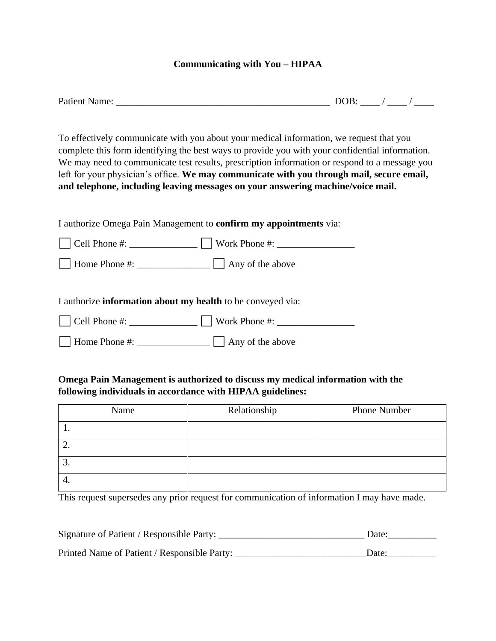### **Communicating with You – HIPAA**

| <b>Patient Name:</b> | м<br>м |  |
|----------------------|--------|--|
|                      |        |  |

To effectively communicate with you about your medical information, we request that you complete this form identifying the best ways to provide you with your confidential information. We may need to communicate test results, prescription information or respond to a message you left for your physician's office. **We may communicate with you through mail, secure email, and telephone, including leaving messages on your answering machine/voice mail.**

I authorize Omega Pain Management to **confirm my appointments** via:

| $\vert$ Cell Phone #: | $\vert$ Work Phone #:    |
|-----------------------|--------------------------|
| Home Phone #:         | $\vert$ Any of the above |

I authorize **information about my health** to be conveyed via:

 $\Box$  Home Phone #:  $\Box$  Any of the above

## **Omega Pain Management is authorized to discuss my medical information with the following individuals in accordance with HIPAA guidelines:**

| Name | Relationship | <b>Phone Number</b> |
|------|--------------|---------------------|
| . .  |              |                     |
| ـ ت  |              |                     |
| J.   |              |                     |
| 4.   |              |                     |

This request supersedes any prior request for communication of information I may have made.

| Signature of Patient / Responsible Party:    | Date: |
|----------------------------------------------|-------|
| Printed Name of Patient / Responsible Party: | Date: |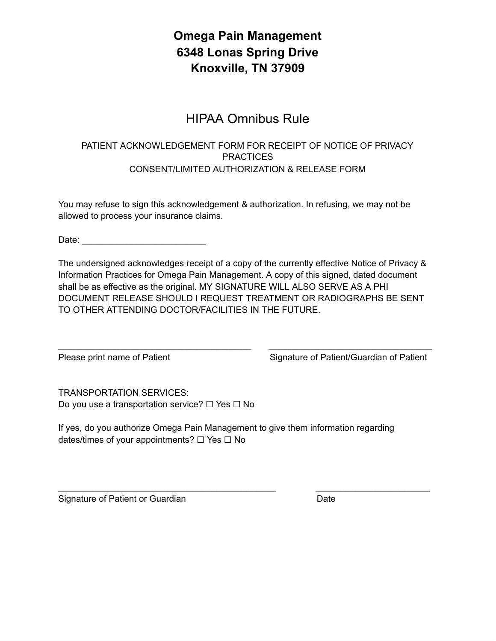## **Omega Pain Management 6348 Lonas Spring Drive Knoxville, TN 37909**

## HIPAA Omnibus Rule

## PATIENT ACKNOWLEDGEMENT FORM FOR RECEIPT OF NOTICE OF PRIVACY **PRACTICES** CONSENT/LIMITED AUTHORIZATION & RELEASE FORM

You may refuse to sign this acknowledgement & authorization. In refusing, we may not be allowed to process your insurance claims.

Date: \_\_\_\_\_\_\_\_\_\_\_\_\_\_\_\_\_\_\_\_\_\_\_\_\_

The undersigned acknowledges receipt of a copy of the currently effective Notice of Privacy & Information Practices for Omega Pain Management. A copy of this signed, dated document shall be as effective as the original. MY SIGNATURE WILL ALSO SERVE AS A PHI DOCUMENT RELEASE SHOULD I REQUEST TREATMENT OR RADIOGRAPHS BE SENT TO OTHER ATTENDING DOCTOR/FACILITIES IN THE FUTURE.

\_\_\_\_\_\_\_\_\_\_\_\_\_\_\_\_\_\_\_\_\_\_\_\_\_\_\_\_\_\_\_\_\_\_\_\_\_\_\_ \_\_\_\_\_\_\_\_\_\_\_\_\_\_\_\_\_\_\_\_\_\_\_\_\_\_\_\_\_\_\_\_\_

Please print name of Patient Signature of Patient/Guardian of Patient

TRANSPORTATION SERVICES: Do you use a transportation service? □ Yes □ No

If yes, do you authorize Omega Pain Management to give them information regarding dates/times of your appointments?  $\Box$  Yes  $\Box$  No

 $\_$  , and the state of the state of the state of the state of the state of the state of the state of the state of the state of the state of the state of the state of the state of the state of the state of the state of the

Signature of Patient or Guardian Date Date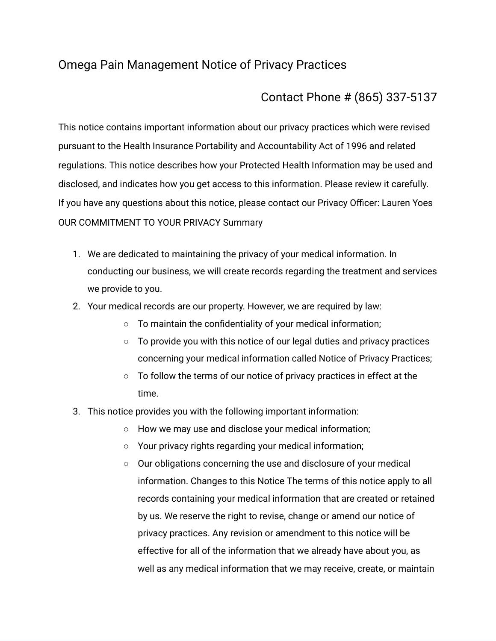## Omega Pain Management Notice of Privacy Practices

## Contact Phone # (865) 337-5137

This notice contains important information about our privacy practices which were revised pursuant to the Health Insurance Portability and Accountability Act of 1996 and related regulations. This notice describes how your Protected Health Information may be used and disclosed, and indicates how you get access to this information. Please review it carefully. If you have any questions about this notice, please contact our Privacy Officer: Lauren Yoes OUR COMMITMENT TO YOUR PRIVACY Summary

- 1. We are dedicated to maintaining the privacy of your medical information. In conducting our business, we will create records regarding the treatment and services we provide to you.
- 2. Your medical records are our property. However, we are required by law:
	- To maintain the confidentiality of your medical information;
	- $\circ$  To provide you with this notice of our legal duties and privacy practices concerning your medical information called Notice of Privacy Practices;
	- To follow the terms of our notice of privacy practices in effect at the time.
- 3. This notice provides you with the following important information:
	- How we may use and disclose your medical information;
	- Your privacy rights regarding your medical information;
	- Our obligations concerning the use and disclosure of your medical information. Changes to this Notice The terms of this notice apply to all records containing your medical information that are created or retained by us. We reserve the right to revise, change or amend our notice of privacy practices. Any revision or amendment to this notice will be effective for all of the information that we already have about you, as well as any medical information that we may receive, create, or maintain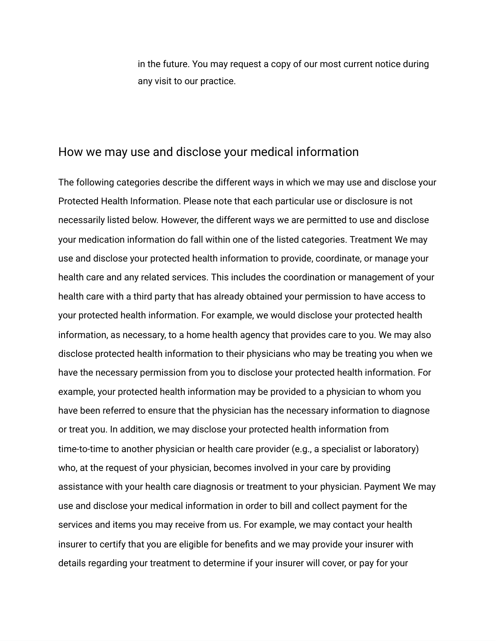in the future. You may request a copy of our most current notice during any visit to our practice.

## How we may use and disclose your medical information

The following categories describe the different ways in which we may use and disclose your Protected Health Information. Please note that each particular use or disclosure is not necessarily listed below. However, the different ways we are permitted to use and disclose your medication information do fall within one of the listed categories. Treatment We may use and disclose your protected health information to provide, coordinate, or manage your health care and any related services. This includes the coordination or management of your health care with a third party that has already obtained your permission to have access to your protected health information. For example, we would disclose your protected health information, as necessary, to a home health agency that provides care to you. We may also disclose protected health information to their physicians who may be treating you when we have the necessary permission from you to disclose your protected health information. For example, your protected health information may be provided to a physician to whom you have been referred to ensure that the physician has the necessary information to diagnose or treat you. In addition, we may disclose your protected health information from time-to-time to another physician or health care provider (e.g., a specialist or laboratory) who, at the request of your physician, becomes involved in your care by providing assistance with your health care diagnosis or treatment to your physician. Payment We may use and disclose your medical information in order to bill and collect payment for the services and items you may receive from us. For example, we may contact your health insurer to certify that you are eligible for benefits and we may provide your insurer with details regarding your treatment to determine if your insurer will cover, or pay for your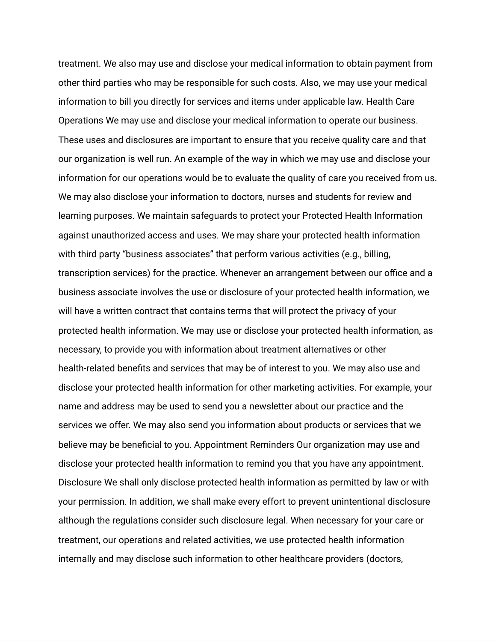treatment. We also may use and disclose your medical information to obtain payment from other third parties who may be responsible for such costs. Also, we may use your medical information to bill you directly for services and items under applicable law. Health Care Operations We may use and disclose your medical information to operate our business. These uses and disclosures are important to ensure that you receive quality care and that our organization is well run. An example of the way in which we may use and disclose your information for our operations would be to evaluate the quality of care you received from us. We may also disclose your information to doctors, nurses and students for review and learning purposes. We maintain safeguards to protect your Protected Health Information against unauthorized access and uses. We may share your protected health information with third party "business associates" that perform various activities (e.g., billing, transcription services) for the practice. Whenever an arrangement between our office and a business associate involves the use or disclosure of your protected health information, we will have a written contract that contains terms that will protect the privacy of your protected health information. We may use or disclose your protected health information, as necessary, to provide you with information about treatment alternatives or other health-related benefits and services that may be of interest to you. We may also use and disclose your protected health information for other marketing activities. For example, your name and address may be used to send you a newsletter about our practice and the services we offer. We may also send you information about products or services that we believe may be beneficial to you. Appointment Reminders Our organization may use and disclose your protected health information to remind you that you have any appointment. Disclosure We shall only disclose protected health information as permitted by law or with your permission. In addition, we shall make every effort to prevent unintentional disclosure although the regulations consider such disclosure legal. When necessary for your care or treatment, our operations and related activities, we use protected health information internally and may disclose such information to other healthcare providers (doctors,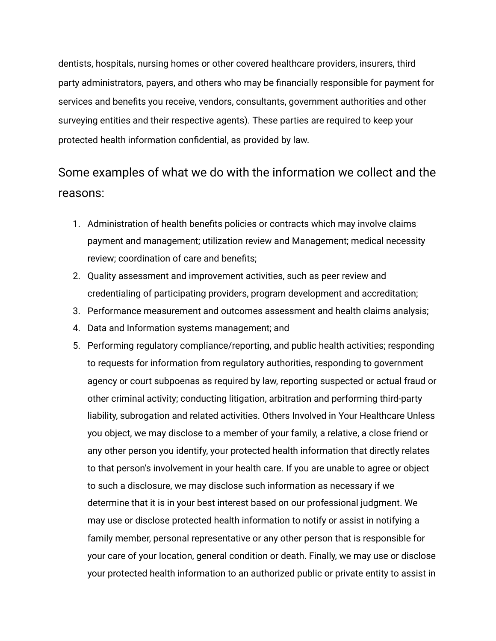dentists, hospitals, nursing homes or other covered healthcare providers, insurers, third party administrators, payers, and others who may be financially responsible for payment for services and benefits you receive, vendors, consultants, government authorities and other surveying entities and their respective agents). These parties are required to keep your protected health information confidential, as provided by law.

# Some examples of what we do with the information we collect and the reasons:

- 1. Administration of health benefits policies or contracts which may involve claims payment and management; utilization review and Management; medical necessity review; coordination of care and benefits;
- 2. Quality assessment and improvement activities, such as peer review and credentialing of participating providers, program development and accreditation;
- 3. Performance measurement and outcomes assessment and health claims analysis;
- 4. Data and Information systems management; and
- 5. Performing regulatory compliance/reporting, and public health activities; responding to requests for information from regulatory authorities, responding to government agency or court subpoenas as required by law, reporting suspected or actual fraud or other criminal activity; conducting litigation, arbitration and performing third-party liability, subrogation and related activities. Others Involved in Your Healthcare Unless you object, we may disclose to a member of your family, a relative, a close friend or any other person you identify, your protected health information that directly relates to that person's involvement in your health care. If you are unable to agree or object to such a disclosure, we may disclose such information as necessary if we determine that it is in your best interest based on our professional judgment. We may use or disclose protected health information to notify or assist in notifying a family member, personal representative or any other person that is responsible for your care of your location, general condition or death. Finally, we may use or disclose your protected health information to an authorized public or private entity to assist in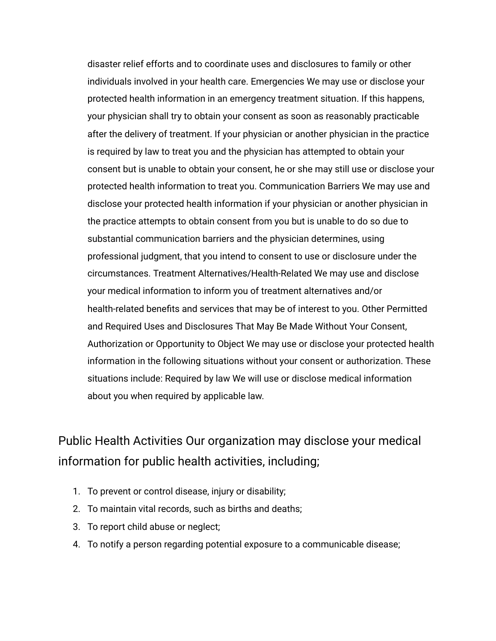disaster relief efforts and to coordinate uses and disclosures to family or other individuals involved in your health care. Emergencies We may use or disclose your protected health information in an emergency treatment situation. If this happens, your physician shall try to obtain your consent as soon as reasonably practicable after the delivery of treatment. If your physician or another physician in the practice is required by law to treat you and the physician has attempted to obtain your consent but is unable to obtain your consent, he or she may still use or disclose your protected health information to treat you. Communication Barriers We may use and disclose your protected health information if your physician or another physician in the practice attempts to obtain consent from you but is unable to do so due to substantial communication barriers and the physician determines, using professional judgment, that you intend to consent to use or disclosure under the circumstances. Treatment Alternatives/Health-Related We may use and disclose your medical information to inform you of treatment alternatives and/or health-related benefits and services that may be of interest to you. Other Permitted and Required Uses and Disclosures That May Be Made Without Your Consent, Authorization or Opportunity to Object We may use or disclose your protected health information in the following situations without your consent or authorization. These situations include: Required by law We will use or disclose medical information about you when required by applicable law.

# Public Health Activities Our organization may disclose your medical information for public health activities, including;

- 1. To prevent or control disease, injury or disability;
- 2. To maintain vital records, such as births and deaths;
- 3. To report child abuse or neglect;
- 4. To notify a person regarding potential exposure to a communicable disease;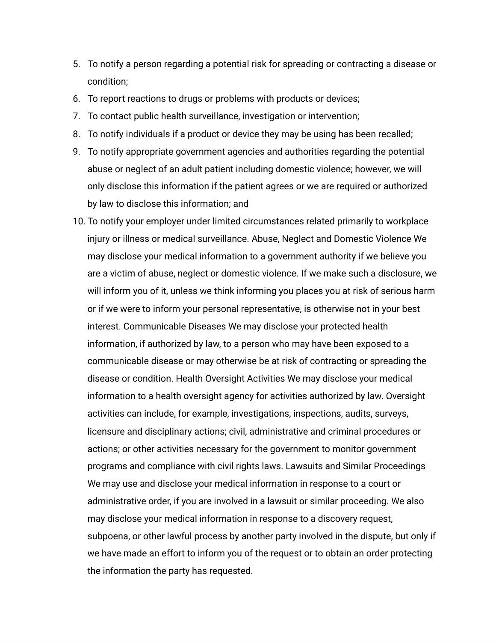- 5. To notify a person regarding a potential risk for spreading or contracting a disease or condition;
- 6. To report reactions to drugs or problems with products or devices;
- 7. To contact public health surveillance, investigation or intervention;
- 8. To notify individuals if a product or device they may be using has been recalled;
- 9. To notify appropriate government agencies and authorities regarding the potential abuse or neglect of an adult patient including domestic violence; however, we will only disclose this information if the patient agrees or we are required or authorized by law to disclose this information; and
- 10. To notify your employer under limited circumstances related primarily to workplace injury or illness or medical surveillance. Abuse, Neglect and Domestic Violence We may disclose your medical information to a government authority if we believe you are a victim of abuse, neglect or domestic violence. If we make such a disclosure, we will inform you of it, unless we think informing you places you at risk of serious harm or if we were to inform your personal representative, is otherwise not in your best interest. Communicable Diseases We may disclose your protected health information, if authorized by law, to a person who may have been exposed to a communicable disease or may otherwise be at risk of contracting or spreading the disease or condition. Health Oversight Activities We may disclose your medical information to a health oversight agency for activities authorized by law. Oversight activities can include, for example, investigations, inspections, audits, surveys, licensure and disciplinary actions; civil, administrative and criminal procedures or actions; or other activities necessary for the government to monitor government programs and compliance with civil rights laws. Lawsuits and Similar Proceedings We may use and disclose your medical information in response to a court or administrative order, if you are involved in a lawsuit or similar proceeding. We also may disclose your medical information in response to a discovery request, subpoena, or other lawful process by another party involved in the dispute, but only if we have made an effort to inform you of the request or to obtain an order protecting the information the party has requested.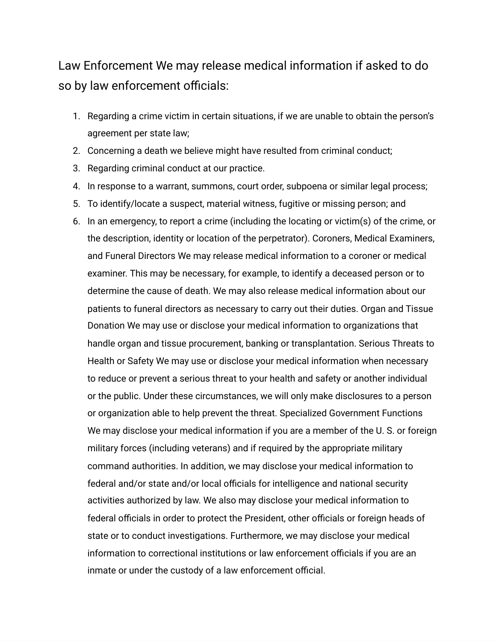## Law Enforcement We may release medical information if asked to do so by law enforcement officials:

- 1. Regarding a crime victim in certain situations, if we are unable to obtain the person's agreement per state law;
- 2. Concerning a death we believe might have resulted from criminal conduct;
- 3. Regarding criminal conduct at our practice.
- 4. In response to a warrant, summons, court order, subpoena or similar legal process;
- 5. To identify/locate a suspect, material witness, fugitive or missing person; and
- 6. In an emergency, to report a crime (including the locating or victim(s) of the crime, or the description, identity or location of the perpetrator). Coroners, Medical Examiners, and Funeral Directors We may release medical information to a coroner or medical examiner. This may be necessary, for example, to identify a deceased person or to determine the cause of death. We may also release medical information about our patients to funeral directors as necessary to carry out their duties. Organ and Tissue Donation We may use or disclose your medical information to organizations that handle organ and tissue procurement, banking or transplantation. Serious Threats to Health or Safety We may use or disclose your medical information when necessary to reduce or prevent a serious threat to your health and safety or another individual or the public. Under these circumstances, we will only make disclosures to a person or organization able to help prevent the threat. Specialized Government Functions We may disclose your medical information if you are a member of the U. S. or foreign military forces (including veterans) and if required by the appropriate military command authorities. In addition, we may disclose your medical information to federal and/or state and/or local officials for intelligence and national security activities authorized by law. We also may disclose your medical information to federal officials in order to protect the President, other officials or foreign heads of state or to conduct investigations. Furthermore, we may disclose your medical information to correctional institutions or law enforcement officials if you are an inmate or under the custody of a law enforcement official.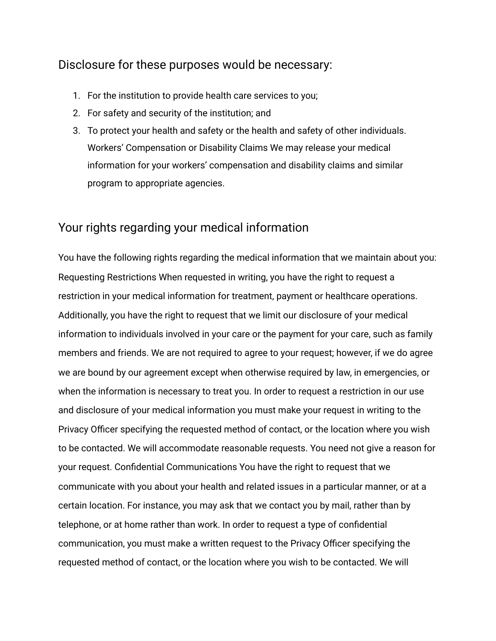## Disclosure for these purposes would be necessary:

- 1. For the institution to provide health care services to you;
- 2. For safety and security of the institution; and
- 3. To protect your health and safety or the health and safety of other individuals. Workers' Compensation or Disability Claims We may release your medical information for your workers' compensation and disability claims and similar program to appropriate agencies.

## Your rights regarding your medical information

You have the following rights regarding the medical information that we maintain about you: Requesting Restrictions When requested in writing, you have the right to request a restriction in your medical information for treatment, payment or healthcare operations. Additionally, you have the right to request that we limit our disclosure of your medical information to individuals involved in your care or the payment for your care, such as family members and friends. We are not required to agree to your request; however, if we do agree we are bound by our agreement except when otherwise required by law, in emergencies, or when the information is necessary to treat you. In order to request a restriction in our use and disclosure of your medical information you must make your request in writing to the Privacy Officer specifying the requested method of contact, or the location where you wish to be contacted. We will accommodate reasonable requests. You need not give a reason for your request. Confidential Communications You have the right to request that we communicate with you about your health and related issues in a particular manner, or at a certain location. For instance, you may ask that we contact you by mail, rather than by telephone, or at home rather than work. In order to request a type of confidential communication, you must make a written request to the Privacy Officer specifying the requested method of contact, or the location where you wish to be contacted. We will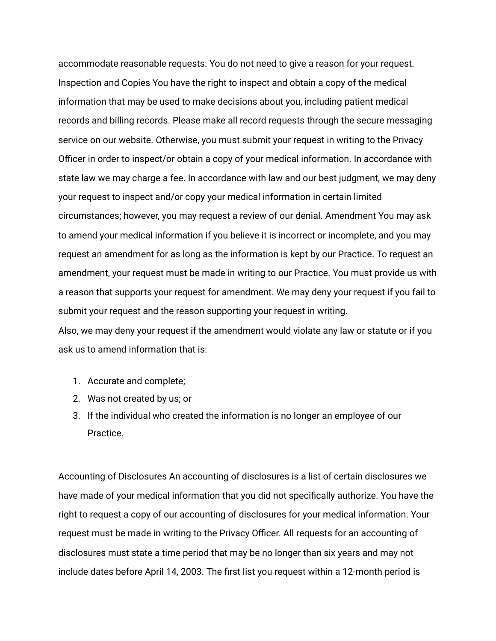accommodate reasonable requests. You do not need to give a reason for your request. Inspection and Copies You have the right to inspect and obtain a copy of the medical information that may be used to make decisions about you, including patient medical records and billing records. Please make all record requests through the secure messaging service on our website. Otherwise, you must submit your request in writing to the Privacy Officer in order to inspect/or obtain a copy of your medical information. In accordance with state law we may charge a fee. In accordance with law and our best judgment, we may deny your request to inspect and/or copy your medical information in certain limited circumstances; however, you may request a review of our denial. Amendment You may ask to amend your medical information if you believe it is incorrect or incomplete, and you may request an amendment for as long as the information is kept by our Practice. To request an amendment, your request must be made in writing to our Practice. You must provide us with a reason that supports your request for amendment. We may deny your request if you fail to submit your request and the reason supporting your request in writing.

Also, we may deny your request if the amendment would violate any law or statute or if you ask us to amend information that is:

- 1. Accurate and complete;
- 2. Was not created by us; or
- 3. If the individual who created the information is no longer an employee of our Practice.

Accounting of Disclosures An accounting of disclosures is a list of certain disclosures we have made of your medical information that you did not specifically authorize. You have the right to request a copy of our accounting of disclosures for your medical information. Your request must be made in writing to the Privacy Officer. All requests for an accounting of disclosures must state a time period that may be no longer than six years and may not include dates before April 14, 2003. The first list you request within a 12-month period is